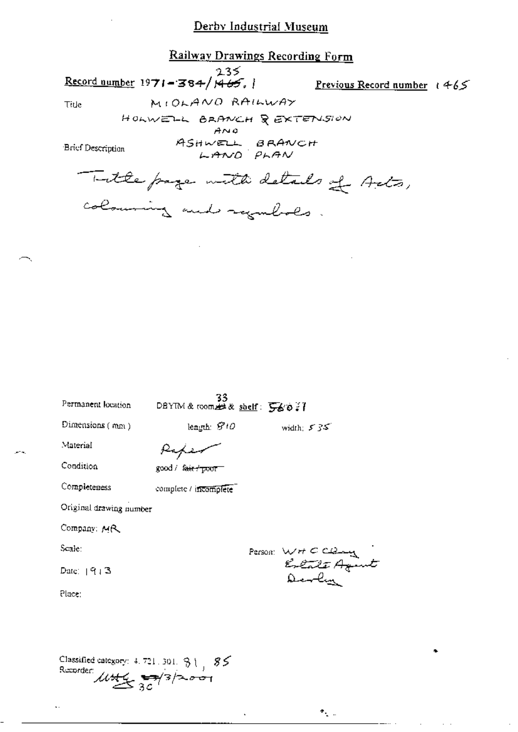### Railway Drawings Recording Form

 $235$ <br>Record number 1971-384/1465, 1

Previous Record number  $(465)$ MIOLANO RAILWAY

Ŀ

 $\gamma_{\rm{c}}$  .

Title

HOLWELL BRANCH & EXTENSION

 $A \wedge Q$ 

Brief Description

ASHWELL BRANCH<br>LAND PLAN

Totte page with details of Acts, colouring and regulates.

| Permanent location      | 33<br>DBYIM & room $\#$ & shelf: $560$ ? |                   |
|-------------------------|------------------------------------------|-------------------|
| Dimensions $(mn)$       | length: 5710                             | width: $535$      |
| Material                |                                          |                   |
| Condition               | good / <del>fair / poor</del>            |                   |
| Completeness            | complete / incomplete                    |                   |
| Original drawing number |                                          |                   |
| Company: MR             |                                          |                   |
| Scale:                  |                                          |                   |
| Date: $[913]$           |                                          | Person: WHCCleany |
| Place:                  |                                          |                   |
|                         |                                          |                   |
|                         |                                          |                   |
|                         |                                          |                   |

Classified category: 4.721.301.  $31, 85$ <br>Recorder:  $\mathcal{U} \mathcal{H} \mathcal{L} \mathcal{F}$ <br> $3\mathcal{C}$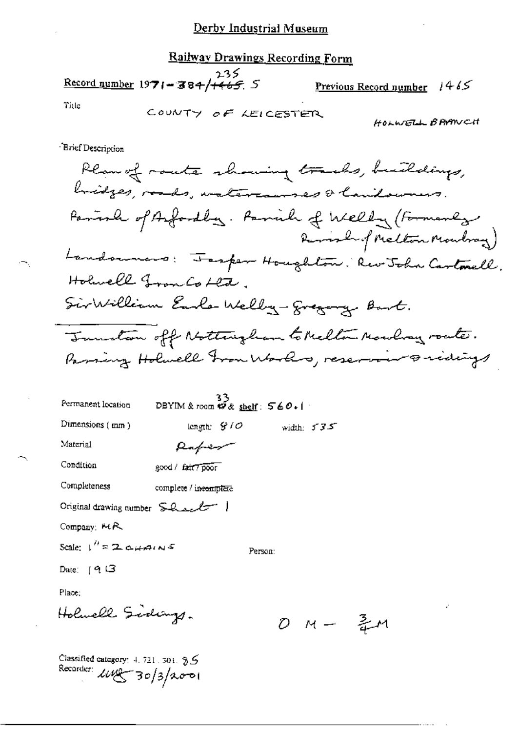### **Railway Drawings Recording Form**

235 Record number 1971-384/+465 5

<u>Previous Record number</u>  $1465$ 

Title

HOLWELL BRAWCH

Brief Description

Plan of route showing tracks, buildings, bridges, roads, watercourses & landowners. Pariode of Anfordlag. Parish of Welly (Formanly Remark of Melton Mondray) Landounces: Fesper Houghton: Rev John Cartonell. Holwell Fron Co Lete. SirWilliam Earle Welly-gregory. Bart. Tuestion off Nottingham to Melton Mowling route. Passing Holmell From Works, reservoir oridings

| Permanent location            | 33<br>DBYIM & room $\varphi$ & shelf: $560.1$ |              |  |
|-------------------------------|-----------------------------------------------|--------------|--|
| Dimensions (mm)               | length: $S/O$                                 | width: $535$ |  |
| Material                      | Raper                                         |              |  |
| Condition                     | good / fair7poor                              |              |  |
| Completeness                  | complete / inecomplete                        |              |  |
| Original drawing number Sheel |                                               |              |  |
| Company: MR                   |                                               |              |  |
| Scale: $1''$ = 2 chains       |                                               | Person:      |  |
| Date: $[9]$ $\Box$            |                                               |              |  |

Place:

Holwell Sidings.

0 м — Зм

Classified category: 4, 721, 301, 9.5 Recorder:  $\mu$ wg 30/3/2001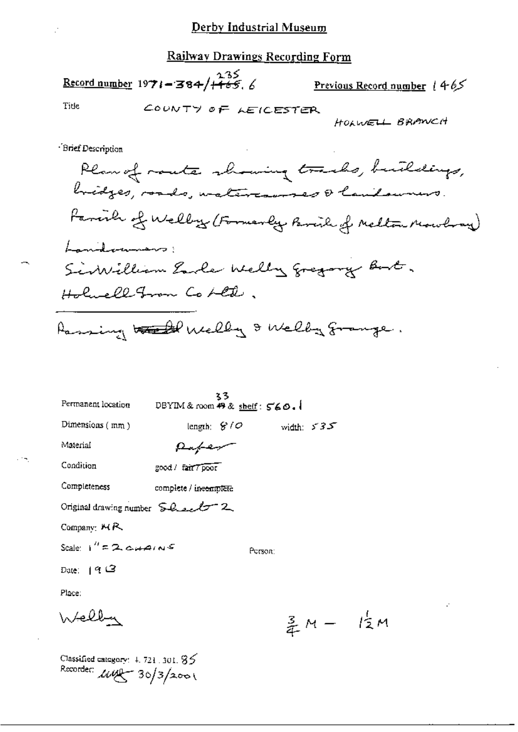### Railway Drawings Recording Form

# Record number 1971-384/465.6

Previous Record number 1465

Title

COUNTY OF LEICESTER

HOLWELL BRANCH

Brief Description

| Permanent location                                          | DBYIM & room $49$ & shelf: $560.1$ | 35            |         |       |              |
|-------------------------------------------------------------|------------------------------------|---------------|---------|-------|--------------|
| Dimensions (mm)                                             |                                    | length: $8/0$ |         |       | width: $535$ |
| Material                                                    | Rafer                              |               |         |       |              |
| Condition                                                   | good / fair 7 poor                 |               |         |       |              |
| Completeness                                                | complete / ineemplete              |               |         |       |              |
| Original drawing number $SL_{2c}\mathcal{L}\tau^-$ 2        |                                    |               |         |       |              |
| Company: MR                                                 |                                    |               |         |       |              |
| Scale: $1''$ = 2. $\alpha$ $\mu$ $\alpha$ $\kappa$ $\delta$ |                                    |               | Person: |       |              |
| Date:  ৭උ                                                   |                                    |               |         |       |              |
| Place:                                                      |                                    |               |         |       |              |
| Welby                                                       |                                    |               |         | 3 A.C |              |

 $\frac{3}{4}M - \frac{1}{2}M$ 

Classified category:  $4,721$  ,  $301,85$ Recorder:  $\mu\mu$  30/3/2001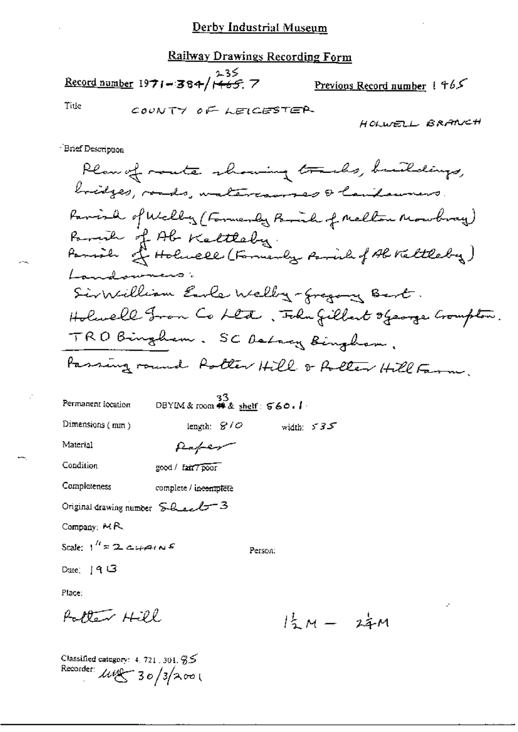### **Railway Drawings Recording Form**

Record number 1971-384/ $H65$  7

Previous Record number 1 465

Title

COUNTY OF LEICESTER

HOLWELL BRANCH

**Brief Description** 

Plan of monte showing tracks, buildings, bridges, roads, watercourses & lautourirs. Parish of Welly (Formerly Brick of Mellow Mowbray) Parish of Ab Keltleby.<br>Parish of Holwell (Formerly Parish of Ab Keltleby) Landowners Sirvillian Earle Welly-fregang Bart. Holwell From Co Lett, Folm fillent ofearge Crompton. TRO Bingham. SC Detroy Bingham. Passing round Rotter Hill & Rotter Hill Farm.

| Permanent Iocation                                                              | DBYIM & room $#x$ shelf: $560.1$ | 33 |         |              |
|---------------------------------------------------------------------------------|----------------------------------|----|---------|--------------|
| Dimensions (mm)                                                                 | length: $8/0$                    |    |         | width: $535$ |
| Material                                                                        | Raper                            |    |         |              |
| Condition                                                                       | good / fair7poor                 |    |         |              |
| Completeness                                                                    | complete / incomplete            |    |         |              |
| Original drawing number $\mathcal{L}_{\text{max}}$ $\mathcal{L}_{\text{max}}$ 3 |                                  |    |         |              |
| Company: $MR$                                                                   |                                  |    |         |              |
| Scale: $1^{H}$ = 2 cupins                                                       |                                  |    | Person: |              |
| Date: $19G$                                                                     |                                  |    |         |              |
| Place:                                                                          |                                  |    |         |              |

Rotten Hill

 $1\frac{1}{2}M - 2\frac{1}{4}M$ 

Classified category:  $4.721.301.95$ Recorder:  $\mu$ eg 30/3/2001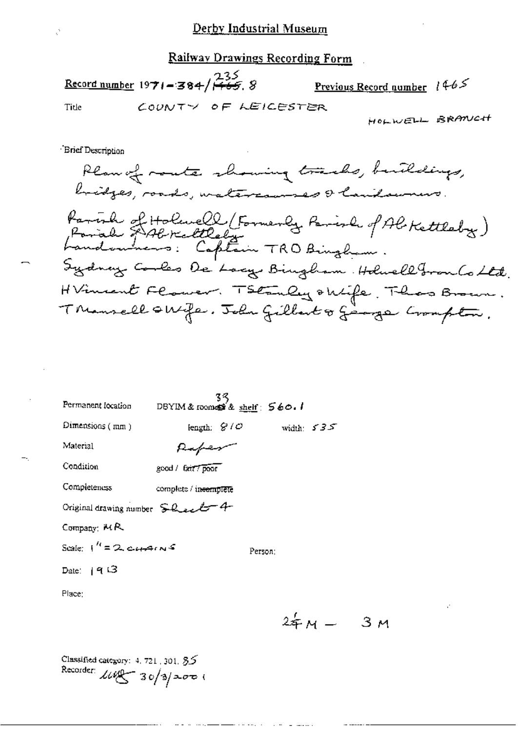Railway Drawings Recording Form

COUNTY OF LEICESTER

## <u>235</u><br>Record number 19**71–384/1465**. 8

<u>Previous Record number</u>  $1465$ 

Title

HOLWELL BRANCH

**Brief Description** 

Plan of monte showing tracks, buildings, bridges, roads, watercourses & laudowners. Parish of Holenell (Formerly Parish of Al-Kettleby)<br>Farial & Al-Kettleby<br>Landonnens: Captain TRO Binghum. Sydney Cooles De Locy Bingham Holwell Fron Co Ltd. HVincent Flower. TSEEnly okife, Thas Brown. Thansell skife. John Gillart & George Crompton.

| Permanent focation                               | $3\frac{3}{5}$<br>DBYIM& roomes\$ & sheif: 560.1 |         |              |
|--------------------------------------------------|--------------------------------------------------|---------|--------------|
| Dimensions (mm)                                  | length: $\mathcal{G}/\mathcal{O}$                |         | width: $535$ |
| Material                                         | Raper                                            |         |              |
| Condition                                        | good / fair / poor                               |         |              |
| Completeness                                     | complete / incomplete                            |         |              |
| Original drawing number $SL_{22}27$ 4            |                                                  |         |              |
| Company: MR                                      |                                                  |         |              |
| Scale: $1^{\prime\prime}$ = 2 cursing $\epsilon$ |                                                  | Person: |              |
| Date: $ 9 \text{ }\mathsf{G} $                   |                                                  |         |              |
| Place:                                           |                                                  |         |              |
|                                                  |                                                  |         | 2&м —        |
|                                                  |                                                  |         |              |

Зм

Classified category:  $4.721$ , 301,  $85$ Recorder:  $\text{108} - 30/3$  2000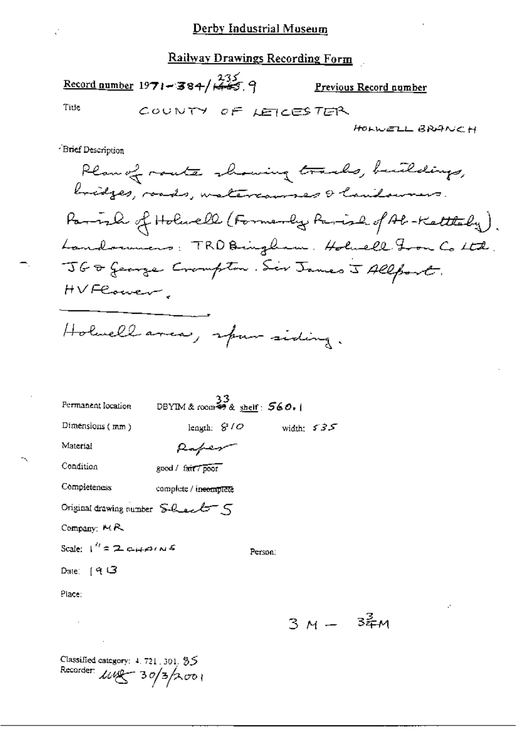### **Railway Drawings Recording Form**

## $\frac{235}{65}$  number 1971-384/ $\frac{235}{65}$ . 9

Previous Record number

Title

COUNTY OF LETCESTER

HOLWELL BRANCH

Brief Description

Plan of route showing tracks, buildings, bridges, roads, watercourses & laudowners. Parish of Holacle (Formerly Parish of Ab-Kettleby). Landorumens: TRD Bringham, Holuell From Co Ltd. JG & George Crompton. Sir James J Allport. HVFCorver,

Holwell area, spar siding.

| Permanent location                                | $33$<br>DBYIM & room $\overset{33}{\bullet}$ & shelf: $560.1$ |         |              |  |
|---------------------------------------------------|---------------------------------------------------------------|---------|--------------|--|
| Dimensions (mm)                                   | length: $S/O$                                                 |         | width: $535$ |  |
| Material                                          | Raper                                                         |         |              |  |
| Condition                                         | good / fair / poor                                            |         |              |  |
| Completeness                                      | complete / incomplete                                         |         |              |  |
| Original drawing number $SL_{2}C^{-}$ $\subseteq$ |                                                               |         |              |  |
| Company: $MR$                                     |                                                               |         |              |  |
| Scale: $1'' = 2 \epsilon_1 \mu \rho_2 \omega_3$   |                                                               | Person: |              |  |
| Date: $[9]$ $\Box$                                |                                                               |         |              |  |
| Place:                                            |                                                               |         |              |  |

 $3M - 34M$ 

Classified category: 4, 721, 301, 95 Recorder:  $\mu x - 30/3/2001$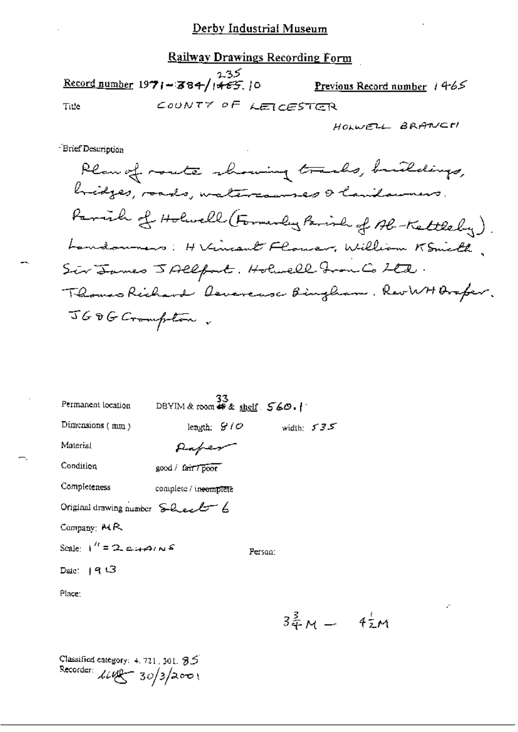### **Railway Drawings Recording Form**

 $\frac{2.35}{\text{Record number}} 1971 - 384 / 1465. 10$ Previous Record number 1465 COUNTY OF LEICESTER Title

-Brief Description

| Permanent location                              | DBYIM & room $\bullet$ & shelf $560.$ | 33 |         |                |              |
|-------------------------------------------------|---------------------------------------|----|---------|----------------|--------------|
| Dimensions (mm)                                 | length: $B/O$                         |    |         |                | width: $535$ |
| Material                                        | Raper                                 |    |         |                |              |
| Condition                                       | good / fair / poor                    |    |         |                |              |
| Completeness                                    | complete / incomplete                 |    |         |                |              |
| Original drawing number $\sum Q_{\text{max}}$ 6 |                                       |    |         |                |              |
| Company: $MR$                                   |                                       |    |         |                |              |
| Scale: $1'' = 2.447 \times 10^{-4}$             |                                       |    | Person: |                |              |
| Date: (৭ පි                                     |                                       |    |         |                |              |
| Place:                                          |                                       |    |         |                |              |
|                                                 |                                       |    |         | $2\frac{3}{2}$ |              |

 $3\frac{3}{4}M - 4\frac{1}{2}M$ 

Classified category:  $4.721$ , 301,  $35$ Recorder:  $\mu = 30/3/2001$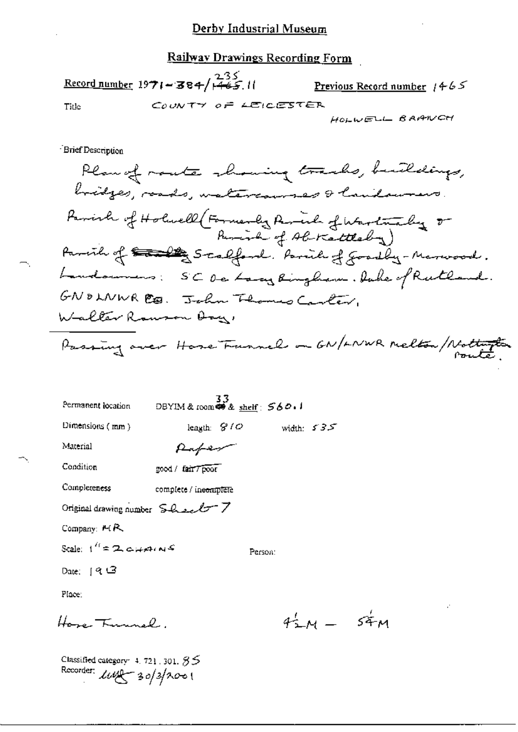Railway Drawings Recording Form

Record number  $1971 - 384/1465.11$ Previous Record number  $1465$ COUNTY OF LEICESTER Title

HOLWELL BARNCH

Brief Description

Plan of route showing tracks, buildings, bridges, roads, watercourses & laudowners Parish of Holwell (Formerly Parish of Warlinghy or Parcia of the Stalland. Parish of goodby-Marwood. Landounes: SCOCLary Ringham. Duke of Rutland. GNOLNWR CO. John Thomas Carter, Walter Rauson Ary Passing over Hose Funnels on GN/LNWR Melton/Nothington

 $\frac{33}{25}$ DBYIM & room \$8 shelf: 560.1 Permanent location Dimensions (mm) leagth:  $G/O$ width:  $535$ 

Material

Puper good / fair7poor

Condition

Completeness complete / ineomplete

Original drawing number  $SL_{2}LT$  7

Company:  $M R$ 

Scale:  $t^{i} = 2$  capping

Person:

Date:  $19.3$ 

Place:

Home Tumple

 $4.4 - 54M$ 

Classified category:  $4, 721, 301, 85$ Recorder:  $\text{LW}$  30/3/2001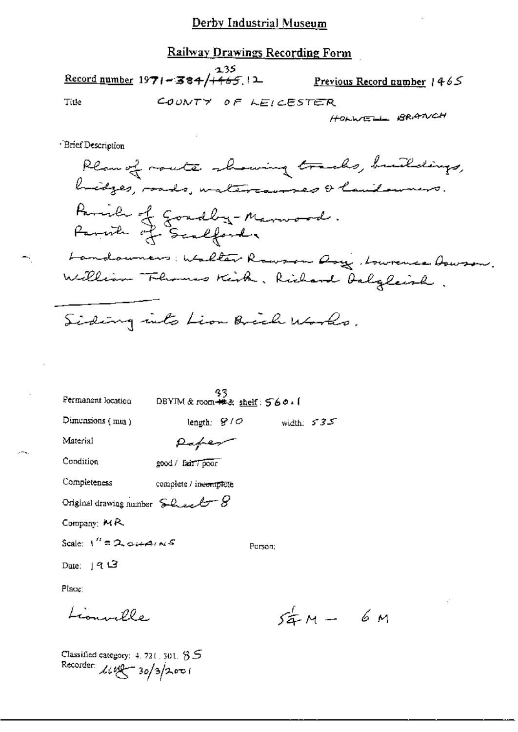### Railway Drawings Recording Form

235  $\frac{\text{Record number}}{1971 - 384 + 65}$ Previous Record number  $1465$ COUNTY OF LEICESTER Title

HOLWELL BRANCH

**Brief Description** 

Plan of route showing tracks, buildings, bidges, roads, watercourses & lautourners. Parish of Goadby-Marwood.<br>Parish of Scalford. Landouners: Walter Rowson Dory, Lowrence Dowson. William Flumes Kirk, Richard Dalgleish. Siding into Lion Brich Works.

| Permanent location                              | DBYIM & room ##& shelf: 560.1 | 33.           |              |  |
|-------------------------------------------------|-------------------------------|---------------|--------------|--|
| Dimensions $(mn)$                               |                               | length: $910$ | width: $535$ |  |
| Material                                        | Paper                         |               |              |  |
| Condition                                       | good / fair 7 poor            |               |              |  |
| Completeness                                    | complete / ineemplete         |               |              |  |
| Original drawing number $SL_{22} \rightarrow S$ |                               |               |              |  |
| Company, $MR$                                   |                               |               |              |  |
| Scale: $1'' = 2 \cdot 44 \cdot 45$              |                               | Person:       |              |  |
| Date: $913$                                     |                               |               |              |  |
| Place:                                          |                               |               |              |  |
| $\sim 00$                                       |                               |               | $54 - 6$ M   |  |

Classified category: 4, 721, 301,  $85$ Recorder:  $\text{Lipf} = 30/3/200$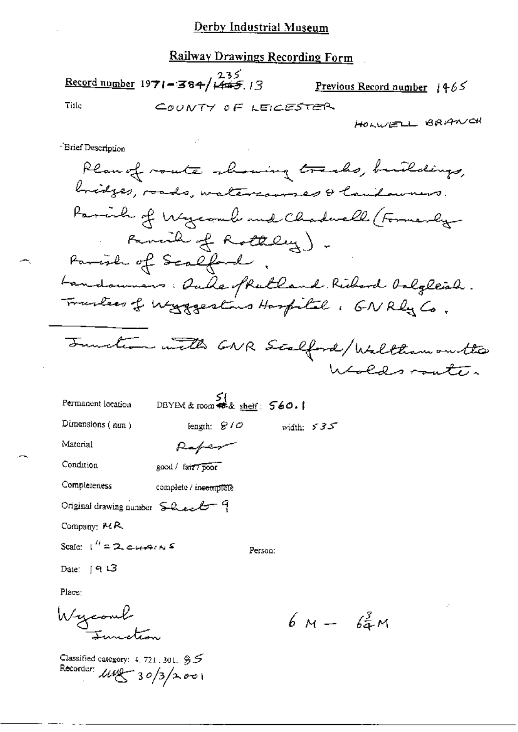### Railway Drawings Recording Form

235<br>Record number 1971-384/1465.13 Previous Record number  $1465$ Title COUNTY OF LEICESTER

HOLWELL BRANCH

- Brief Description

Plan of route showing tracks, buildings, bridges, roads, watercourses & laudowners. Parish of Wycomb and Chadwell (Formerly-Remail of Rottley). Parish of Scalford, Landouners: Ducke of Ruthand Richard Oalgleich. Trantes of Waggestons Haspital, GNRly Co.

Junction with GNR Scalford/Walthamonthe Woldsmate.

| Permanent location       | $S$ {<br>DBYEM & room $\bullet$ & shelf: $560.$ } |          |  |
|--------------------------|---------------------------------------------------|----------|--|
| Dimensions $(\text{nm})$ | length: $810$                                     | width: 5 |  |
| Material                 | Raper                                             |          |  |

Materi Condition

good / fair / poor

Completeness complete / incomplete

Original drawing number Sheel 9

Company: MR

Scale:  $1'' = 2$ , cutains

Person:

Date:  $19.3$ 

Place:

Wycomb

Classified category:  $4.721.301.95$ Recorder:  $\mu$  $\frac{1}{\sqrt{3}}$  30/3/2001

 $6M - 62M$ 

35